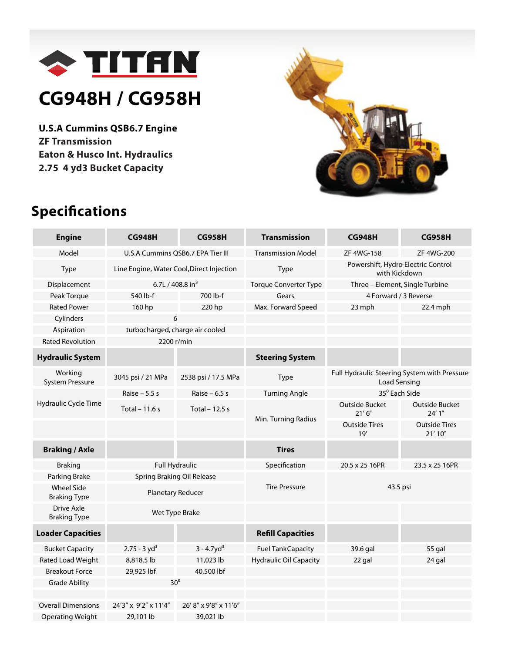

## **CG948H / CG958H**

**U.S.A Cummins QSB6.7 Engine ZF Transmission Eaton & Husco Int. Hydraulics 2.75 4 yd3 Bucket Capacity**



## **Specifications**

| <b>Engine</b>                            | <b>CG948H</b>                             | <b>CG958H</b>         | <b>Transmission</b>           | <b>CG948H</b>                                                       | <b>CG958H</b>                   |  |
|------------------------------------------|-------------------------------------------|-----------------------|-------------------------------|---------------------------------------------------------------------|---------------------------------|--|
| Model                                    | U.S.A Cummins QSB6.7 EPA Tier III         |                       | <b>Transmission Model</b>     | ZF 4WG-158                                                          | <b>ZF 4WG-200</b>               |  |
| Type                                     | Line Engine, Water Cool, Direct Injection |                       | <b>Type</b>                   | Powershift, Hydro-Electric Control<br>with Kickdown                 |                                 |  |
| Displacement                             | 6.7L / 408.8 in <sup>3</sup>              |                       | <b>Torque Converter Type</b>  | Three - Element, Single Turbine                                     |                                 |  |
| Peak Torque                              | 540 lb-f                                  | 700 lb-f              | Gears                         | 4 Forward / 3 Reverse                                               |                                 |  |
| <b>Rated Power</b>                       | 160 hp                                    | 220 hp                | Max. Forward Speed            | 23 mph                                                              | 22.4 mph                        |  |
| Cylinders                                |                                           | 6                     |                               |                                                                     |                                 |  |
| Aspiration                               | turbocharged, charge air cooled           |                       |                               |                                                                     |                                 |  |
| <b>Rated Revolution</b>                  | 2200 r/min                                |                       |                               |                                                                     |                                 |  |
| <b>Hydraulic System</b>                  |                                           |                       | <b>Steering System</b>        |                                                                     |                                 |  |
| Working<br><b>System Pressure</b>        | 3045 psi / 21 MPa                         | 2538 psi / 17.5 MPa   | Type                          | Full Hydraulic Steering System with Pressure<br><b>Load Sensing</b> |                                 |  |
| Hydraulic Cycle Time                     | Raise $-5.5$ s                            | Raise $-6.5$ s        | <b>Turning Angle</b>          | 35 <sup>°</sup> Each Side                                           |                                 |  |
|                                          | Total $-11.6$ s                           | Total $-12.5$ s       |                               | <b>Outside Bucket</b><br>21'6''                                     | Outside Bucket<br>24'1''        |  |
|                                          |                                           |                       | Min. Turning Radius           | <b>Outside Tires</b><br>19'                                         | <b>Outside Tires</b><br>21'10'' |  |
| <b>Braking / Axle</b>                    |                                           |                       | <b>Tires</b>                  |                                                                     |                                 |  |
| <b>Braking</b>                           | <b>Full Hydraulic</b>                     |                       | Specification                 | 20.5 x 25 16PR                                                      | 23.5 x 25 16PR                  |  |
| Parking Brake                            | Spring Braking Oil Release                |                       |                               | 43.5 psi                                                            |                                 |  |
| <b>Wheel Side</b><br><b>Braking Type</b> | Planetary Reducer                         |                       | <b>Tire Pressure</b>          |                                                                     |                                 |  |
| <b>Drive Axle</b><br><b>Braking Type</b> | Wet Type Brake                            |                       |                               |                                                                     |                                 |  |
| <b>Loader Capacities</b>                 |                                           |                       | <b>Refill Capacities</b>      |                                                                     |                                 |  |
| <b>Bucket Capacity</b>                   | $2.75 - 3 yd3$                            | $3 - 4.7yd3$          | <b>Fuel TankCapacity</b>      | 39.6 gal                                                            | 55 gal                          |  |
| Rated Load Weight                        | 8,818.5 lb                                | 11,023 lb             | <b>Hydraulic Oil Capacity</b> | 22 gal                                                              | 24 gal                          |  |
| <b>Breakout Force</b>                    | 29,925 lbf                                | 40,500 lbf            |                               |                                                                     |                                 |  |
| <b>Grade Ability</b>                     | 30 <sup>0</sup>                           |                       |                               |                                                                     |                                 |  |
|                                          |                                           |                       |                               |                                                                     |                                 |  |
| <b>Overall Dimensions</b>                | 24'3" x 9'2" x 11'4"                      | 26' 8" x 9'8" x 11'6" |                               |                                                                     |                                 |  |
| <b>Operating Weight</b>                  | 29,101 lb                                 | 39,021 lb             |                               |                                                                     |                                 |  |